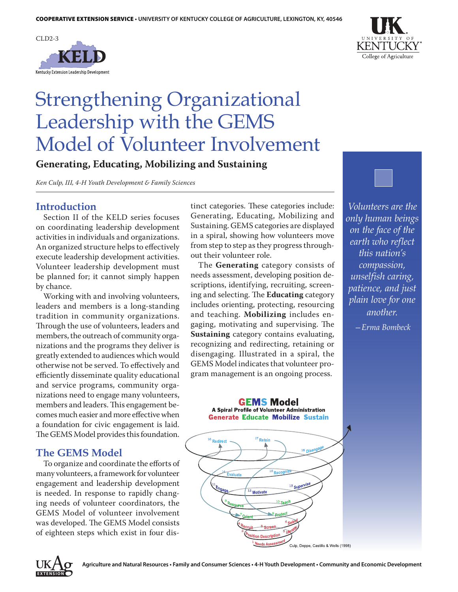



# Strengthening Organizational Leadership with the GEMS Model of Volunteer Involvement

**Generating, Educating, Mobilizing and Sustaining**

*Ken Culp, III, 4-H Youth Development & Family Sciences*

## **Introduction**

Section II of the KELD series focuses on coordinating leadership development activities in individuals and organizations. An organized structure helps to effectively execute leadership development activities. Volunteer leadership development must be planned for; it cannot simply happen by chance.

Working with and involving volunteers, leaders and members is a long-standing tradition in community organizations. Through the use of volunteers, leaders and members, the outreach of community organizations and the programs they deliver is greatly extended to audiences which would otherwise not be served. To effectively and efficiently disseminate quality educational and service programs, community organizations need to engage many volunteers, members and leaders. This engagement becomes much easier and more effective when a foundation for civic engagement is laid. The GEMS Model provides this foundation.

## **The GEMS Model**

To organize and coordinate the efforts of many volunteers, a framework for volunteer engagement and leadership development is needed. In response to rapidly changing needs of volunteer coordinators, the GEMS Model of volunteer involvement was developed. The GEMS Model consists of eighteen steps which exist in four distinct categories. These categories include: Generating, Educating, Mobilizing and Sustaining. GEMS categories are displayed in a spiral, showing how volunteers move from step to step as they progress throughout their volunteer role.

The **Generating** category consists of needs assessment, developing position descriptions, identifying, recruiting, screening and selecting. The **Educating** category includes orienting, protecting, resourcing and teaching. **Mobilizing** includes engaging, motivating and supervising. The **Sustaining** category contains evaluating, recognizing and redirecting, retaining or disengaging. Illustrated in a spiral, the GEMS Model indicates that volunteer program management is an ongoing process.

*Volunteers are the only human beings on the face of the earth who reflect this nation's compassion, unselfish caring, patience, and just plain love for one another.*

*—Erma Bombeck*

**GEMS Model A Spiral Profile of Volunteer Administration Generate Educate Mobilize Sustain** 



**EXTENSION**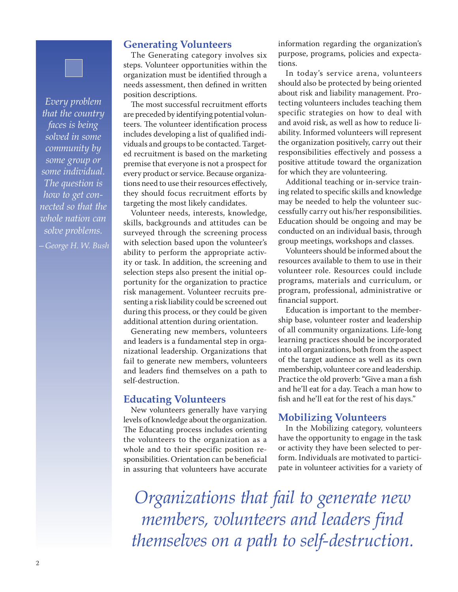#### **Generating Volunteers**

The Generating category involves six steps. Volunteer opportunities within the organization must be identified through a needs assessment, then defined in written position descriptions.

The most successful recruitment efforts are preceded by identifying potential volunteers. The volunteer identification process includes developing a list of qualified individuals and groups to be contacted. Targeted recruitment is based on the marketing premise that everyone is not a prospect for every product or service. Because organizations need to use their resources effectively, they should focus recruitment efforts by targeting the most likely candidates.

Volunteer needs, interests, knowledge, skills, backgrounds and attitudes can be surveyed through the screening process with selection based upon the volunteer's ability to perform the appropriate activity or task. In addition, the screening and selection steps also present the initial opportunity for the organization to practice risk management. Volunteer recruits presenting a risk liability could be screened out during this process, or they could be given additional attention during orientation.

Generating new members, volunteers and leaders is a fundamental step in organizational leadership. Organizations that fail to generate new members, volunteers and leaders find themselves on a path to self-destruction.

#### **Educating Volunteers**

New volunteers generally have varying levels of knowledge about the organization. The Educating process includes orienting the volunteers to the organization as a whole and to their specific position responsibilities. Orientation can be beneficial in assuring that volunteers have accurate

information regarding the organization's purpose, programs, policies and expectations.

In today's service arena, volunteers should also be protected by being oriented about risk and liability management. Protecting volunteers includes teaching them specific strategies on how to deal with and avoid risk, as well as how to reduce liability. Informed volunteers will represent the organization positively, carry out their responsibilities effectively and possess a positive attitude toward the organization for which they are volunteering.

Additional teaching or in-service training related to specific skills and knowledge may be needed to help the volunteer successfully carry out his/her responsibilities. Education should be ongoing and may be conducted on an individual basis, through group meetings, workshops and classes.

Volunteers should be informed about the resources available to them to use in their volunteer role. Resources could include programs, materials and curriculum, or program, professional, administrative or financial support.

Education is important to the membership base, volunteer roster and leadership of all community organizations. Life-long learning practices should be incorporated into all organizations, both from the aspect of the target audience as well as its own membership, volunteer core and leadership. Practice the old proverb: "Give a man a fish and he'll eat for a day. Teach a man how to fish and he'll eat for the rest of his days."

#### **Mobilizing Volunteers**

In the Mobilizing category, volunteers have the opportunity to engage in the task or activity they have been selected to perform. Individuals are motivated to participate in volunteer activities for a variety of

*Organizations that fail to generate new members, volunteers and leaders find themselves on a path to self-destruction.*

*Every problem that the country faces is being solved in some community by some group or some individual. The question is how to get connected so that the whole nation can solve problems.*

*—George H. W. Bush*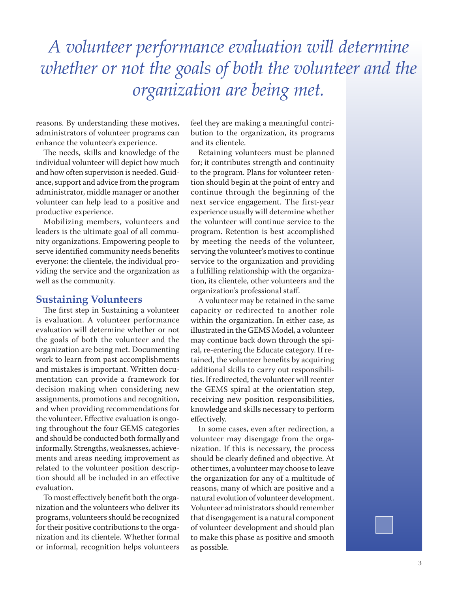# *A volunteer performance evaluation will determine whether or not the goals of both the volunteer and the organization are being met.*

reasons. By understanding these motives, administrators of volunteer programs can enhance the volunteer's experience.

The needs, skills and knowledge of the individual volunteer will depict how much and how often supervision is needed. Guidance, support and advice from the program administrator, middle manager or another volunteer can help lead to a positive and productive experience.

Mobilizing members, volunteers and leaders is the ultimate goal of all community organizations. Empowering people to serve identified community needs benefits everyone: the clientele, the individual providing the service and the organization as well as the community.

#### **Sustaining Volunteers**

The first step in Sustaining a volunteer is evaluation. A volunteer performance evaluation will determine whether or not the goals of both the volunteer and the organization are being met. Documenting work to learn from past accomplishments and mistakes is important. Written documentation can provide a framework for decision making when considering new assignments, promotions and recognition, and when providing recommendations for the volunteer. Effective evaluation is ongoing throughout the four GEMS categories and should be conducted both formally and informally. Strengths, weaknesses, achievements and areas needing improvement as related to the volunteer position description should all be included in an effective evaluation.

To most effectively benefit both the organization and the volunteers who deliver its programs, volunteers should be recognized for their positive contributions to the organization and its clientele. Whether formal or informal, recognition helps volunteers feel they are making a meaningful contribution to the organization, its programs and its clientele.

Retaining volunteers must be planned for; it contributes strength and continuity to the program. Plans for volunteer retention should begin at the point of entry and continue through the beginning of the next service engagement. The first-year experience usually will determine whether the volunteer will continue service to the program. Retention is best accomplished by meeting the needs of the volunteer, serving the volunteer's motives to continue service to the organization and providing a fulfilling relationship with the organization, its clientele, other volunteers and the organization's professional staff.

A volunteer may be retained in the same capacity or redirected to another role within the organization. In either case, as illustrated in the GEMS Model, a volunteer may continue back down through the spiral, re-entering the Educate category. If retained, the volunteer benefits by acquiring additional skills to carry out responsibilities. If redirected, the volunteer will reenter the GEMS spiral at the orientation step, receiving new position responsibilities, knowledge and skills necessary to perform effectively.

In some cases, even after redirection, a volunteer may disengage from the organization. If this is necessary, the process should be clearly defined and objective. At other times, a volunteer may choose to leave the organization for any of a multitude of reasons, many of which are positive and a natural evolution of volunteer development. Volunteer administrators should remember that disengagement is a natural component of volunteer development and should plan to make this phase as positive and smooth as possible.